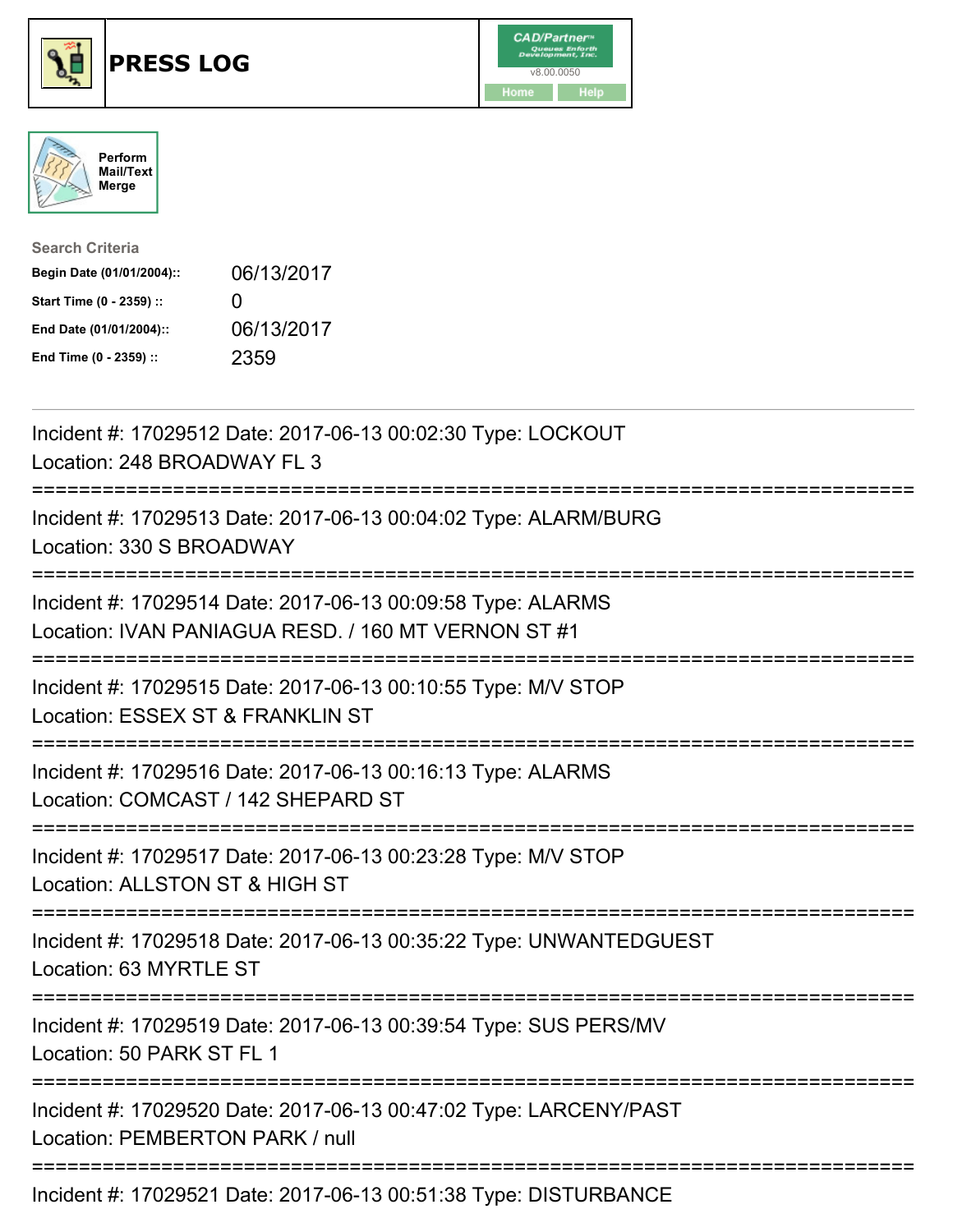





| <b>Search Criteria</b>    |              |
|---------------------------|--------------|
| Begin Date (01/01/2004):: | 06/13/2017   |
| Start Time (0 - 2359) ::  | $\mathbf{U}$ |
| End Date (01/01/2004)::   | 06/13/2017   |
| End Time (0 - 2359) ::    | 2359         |

| Incident #: 17029512 Date: 2017-06-13 00:02:30 Type: LOCKOUT<br>Location: 248 BROADWAY FL 3                                    |
|--------------------------------------------------------------------------------------------------------------------------------|
| Incident #: 17029513 Date: 2017-06-13 00:04:02 Type: ALARM/BURG<br>Location: 330 S BROADWAY<br>-----------                     |
| Incident #: 17029514 Date: 2017-06-13 00:09:58 Type: ALARMS<br>Location: IVAN PANIAGUA RESD. / 160 MT VERNON ST #1             |
| Incident #: 17029515 Date: 2017-06-13 00:10:55 Type: M/V STOP<br>Location: ESSEX ST & FRANKLIN ST<br>.------------------------ |
| Incident #: 17029516 Date: 2017-06-13 00:16:13 Type: ALARMS<br>Location: COMCAST / 142 SHEPARD ST                              |
| Incident #: 17029517 Date: 2017-06-13 00:23:28 Type: M/V STOP<br>Location: ALLSTON ST & HIGH ST                                |
| Incident #: 17029518 Date: 2017-06-13 00:35:22 Type: UNWANTEDGUEST<br>Location: 63 MYRTLE ST                                   |
| Incident #: 17029519 Date: 2017-06-13 00:39:54 Type: SUS PERS/MV<br>Location: 50 PARK ST FL 1                                  |
| Incident #: 17029520 Date: 2017-06-13 00:47:02 Type: LARCENY/PAST<br>Location: PEMBERTON PARK / null                           |
| Incident #: 17029521 Date: 2017-06-13 00:51:38 Type: DISTURBANCE                                                               |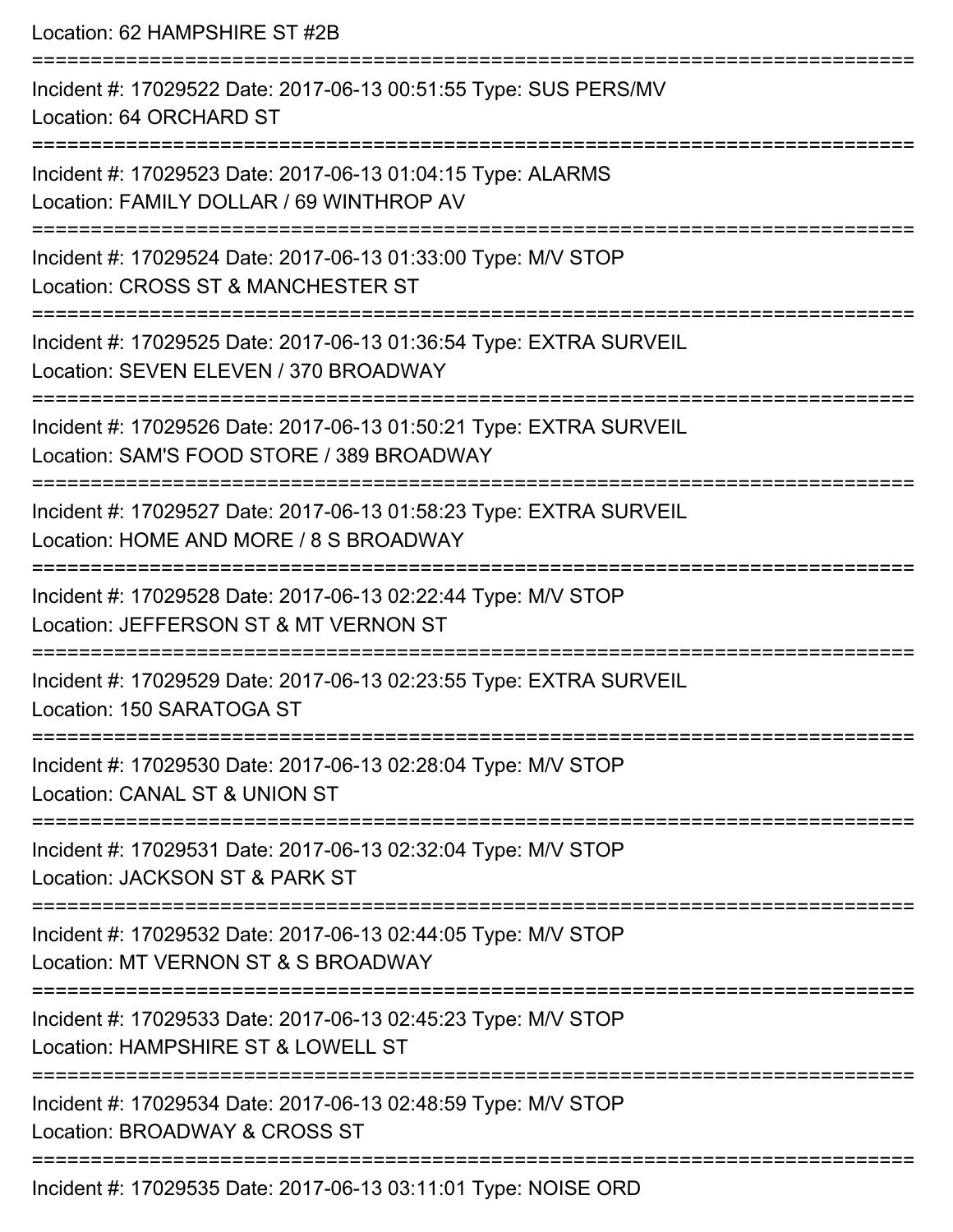Location: 62 HAMPSHIRE ST #2B

| Incident #: 17029522 Date: 2017-06-13 00:51:55 Type: SUS PERS/MV<br>Location: 64 ORCHARD ST                     |
|-----------------------------------------------------------------------------------------------------------------|
| Incident #: 17029523 Date: 2017-06-13 01:04:15 Type: ALARMS<br>Location: FAMILY DOLLAR / 69 WINTHROP AV         |
| Incident #: 17029524 Date: 2017-06-13 01:33:00 Type: M/V STOP<br>Location: CROSS ST & MANCHESTER ST             |
| Incident #: 17029525 Date: 2017-06-13 01:36:54 Type: EXTRA SURVEIL<br>Location: SEVEN ELEVEN / 370 BROADWAY     |
| Incident #: 17029526 Date: 2017-06-13 01:50:21 Type: EXTRA SURVEIL<br>Location: SAM'S FOOD STORE / 389 BROADWAY |
| Incident #: 17029527 Date: 2017-06-13 01:58:23 Type: EXTRA SURVEIL<br>Location: HOME AND MORE / 8 S BROADWAY    |
| Incident #: 17029528 Date: 2017-06-13 02:22:44 Type: M/V STOP<br>Location: JEFFERSON ST & MT VERNON ST          |
| Incident #: 17029529 Date: 2017-06-13 02:23:55 Type: EXTRA SURVEIL<br>Location: 150 SARATOGA ST                 |
| Incident #: 17029530 Date: 2017-06-13 02:28:04 Type: M/V STOP<br>Location: CANAL ST & UNION ST                  |
| Incident #: 17029531 Date: 2017-06-13 02:32:04 Type: M/V STOP<br>Location: JACKSON ST & PARK ST                 |
| Incident #: 17029532 Date: 2017-06-13 02:44:05 Type: M/V STOP<br>Location: MT VERNON ST & S BROADWAY            |
| Incident #: 17029533 Date: 2017-06-13 02:45:23 Type: M/V STOP<br>Location: HAMPSHIRE ST & LOWELL ST             |
| Incident #: 17029534 Date: 2017-06-13 02:48:59 Type: M/V STOP<br>Location: BROADWAY & CROSS ST                  |
| Incident #: 17029535 Date: 2017-06-13 03:11:01 Type: NOISE ORD                                                  |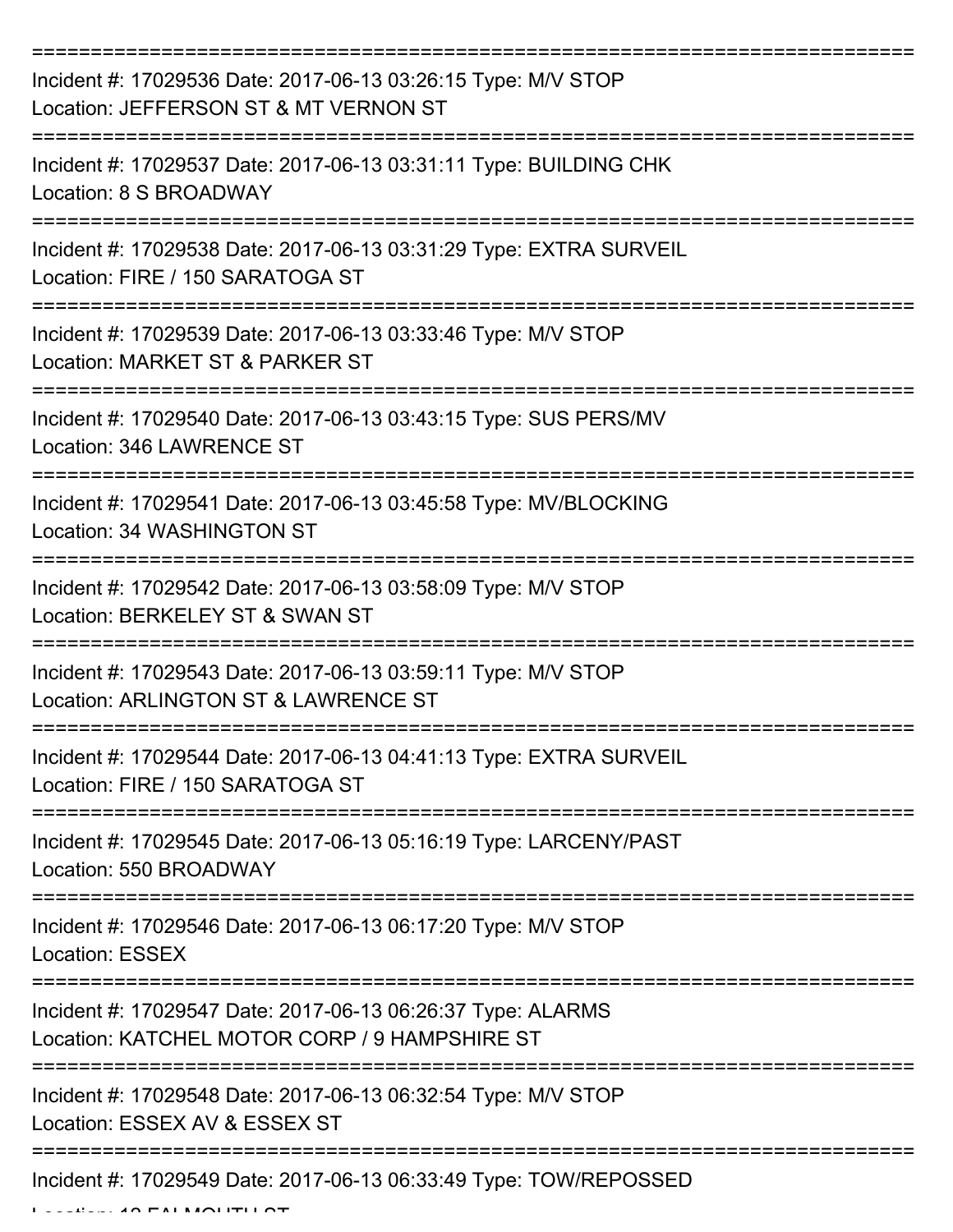| Incident #: 17029536 Date: 2017-06-13 03:26:15 Type: M/V STOP<br>Location: JEFFERSON ST & MT VERNON ST       |
|--------------------------------------------------------------------------------------------------------------|
| Incident #: 17029537 Date: 2017-06-13 03:31:11 Type: BUILDING CHK<br>Location: 8 S BROADWAY                  |
| Incident #: 17029538 Date: 2017-06-13 03:31:29 Type: EXTRA SURVEIL<br>Location: FIRE / 150 SARATOGA ST       |
| Incident #: 17029539 Date: 2017-06-13 03:33:46 Type: M/V STOP<br>Location: MARKET ST & PARKER ST             |
| Incident #: 17029540 Date: 2017-06-13 03:43:15 Type: SUS PERS/MV<br>Location: 346 LAWRENCE ST                |
| Incident #: 17029541 Date: 2017-06-13 03:45:58 Type: MV/BLOCKING<br>Location: 34 WASHINGTON ST               |
| Incident #: 17029542 Date: 2017-06-13 03:58:09 Type: M/V STOP<br>Location: BERKELEY ST & SWAN ST             |
| Incident #: 17029543 Date: 2017-06-13 03:59:11 Type: M/V STOP<br>Location: ARLINGTON ST & LAWRENCE ST        |
| Incident #: 17029544 Date: 2017-06-13 04:41:13 Type: EXTRA SURVEIL<br>Location: FIRE / 150 SARATOGA ST       |
| Incident #: 17029545 Date: 2017-06-13 05:16:19 Type: LARCENY/PAST<br>Location: 550 BROADWAY                  |
| Incident #: 17029546 Date: 2017-06-13 06:17:20 Type: M/V STOP<br><b>Location: ESSEX</b>                      |
| Incident #: 17029547 Date: 2017-06-13 06:26:37 Type: ALARMS<br>Location: KATCHEL MOTOR CORP / 9 HAMPSHIRE ST |
| Incident #: 17029548 Date: 2017-06-13 06:32:54 Type: M/V STOP<br>Location: ESSEX AV & ESSEX ST               |
| Incident #: 17029549 Date: 2017-06-13 06:33:49 Type: TOW/REPOSSED                                            |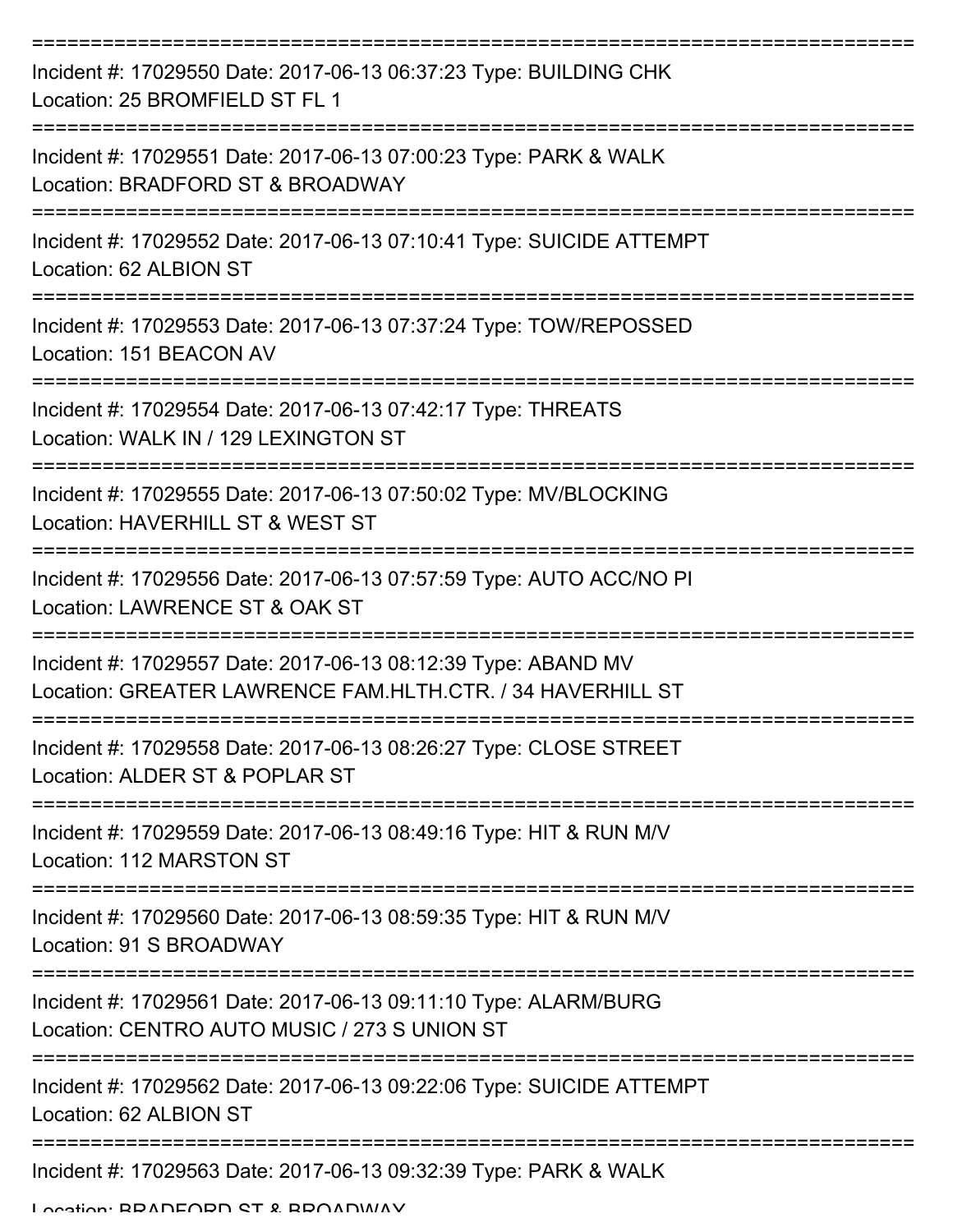| Incident #: 17029550 Date: 2017-06-13 06:37:23 Type: BUILDING CHK<br>Location: 25 BROMFIELD ST FL 1                         |
|-----------------------------------------------------------------------------------------------------------------------------|
| Incident #: 17029551 Date: 2017-06-13 07:00:23 Type: PARK & WALK<br>Location: BRADFORD ST & BROADWAY                        |
| Incident #: 17029552 Date: 2017-06-13 07:10:41 Type: SUICIDE ATTEMPT<br>Location: 62 ALBION ST                              |
| Incident #: 17029553 Date: 2017-06-13 07:37:24 Type: TOW/REPOSSED<br>Location: 151 BEACON AV                                |
| Incident #: 17029554 Date: 2017-06-13 07:42:17 Type: THREATS<br>Location: WALK IN / 129 LEXINGTON ST                        |
| Incident #: 17029555 Date: 2017-06-13 07:50:02 Type: MV/BLOCKING<br>Location: HAVERHILL ST & WEST ST                        |
| Incident #: 17029556 Date: 2017-06-13 07:57:59 Type: AUTO ACC/NO PI<br>Location: LAWRENCE ST & OAK ST                       |
| Incident #: 17029557 Date: 2017-06-13 08:12:39 Type: ABAND MV<br>Location: GREATER LAWRENCE FAM.HLTH.CTR. / 34 HAVERHILL ST |
| Incident #: 17029558 Date: 2017-06-13 08:26:27 Type: CLOSE STREET<br>Location: ALDER ST & POPLAR ST                         |
| Incident #: 17029559 Date: 2017-06-13 08:49:16 Type: HIT & RUN M/V<br>Location: 112 MARSTON ST                              |
| Incident #: 17029560 Date: 2017-06-13 08:59:35 Type: HIT & RUN M/V<br>Location: 91 S BROADWAY                               |
| Incident #: 17029561 Date: 2017-06-13 09:11:10 Type: ALARM/BURG<br>Location: CENTRO AUTO MUSIC / 273 S UNION ST             |
| Incident #: 17029562 Date: 2017-06-13 09:22:06 Type: SUICIDE ATTEMPT<br>Location: 62 ALBION ST                              |
| Incident #: 17029563 Date: 2017-06-13 09:32:39 Type: PARK & WALK                                                            |

Location: BRADFORD ST & BROADWAY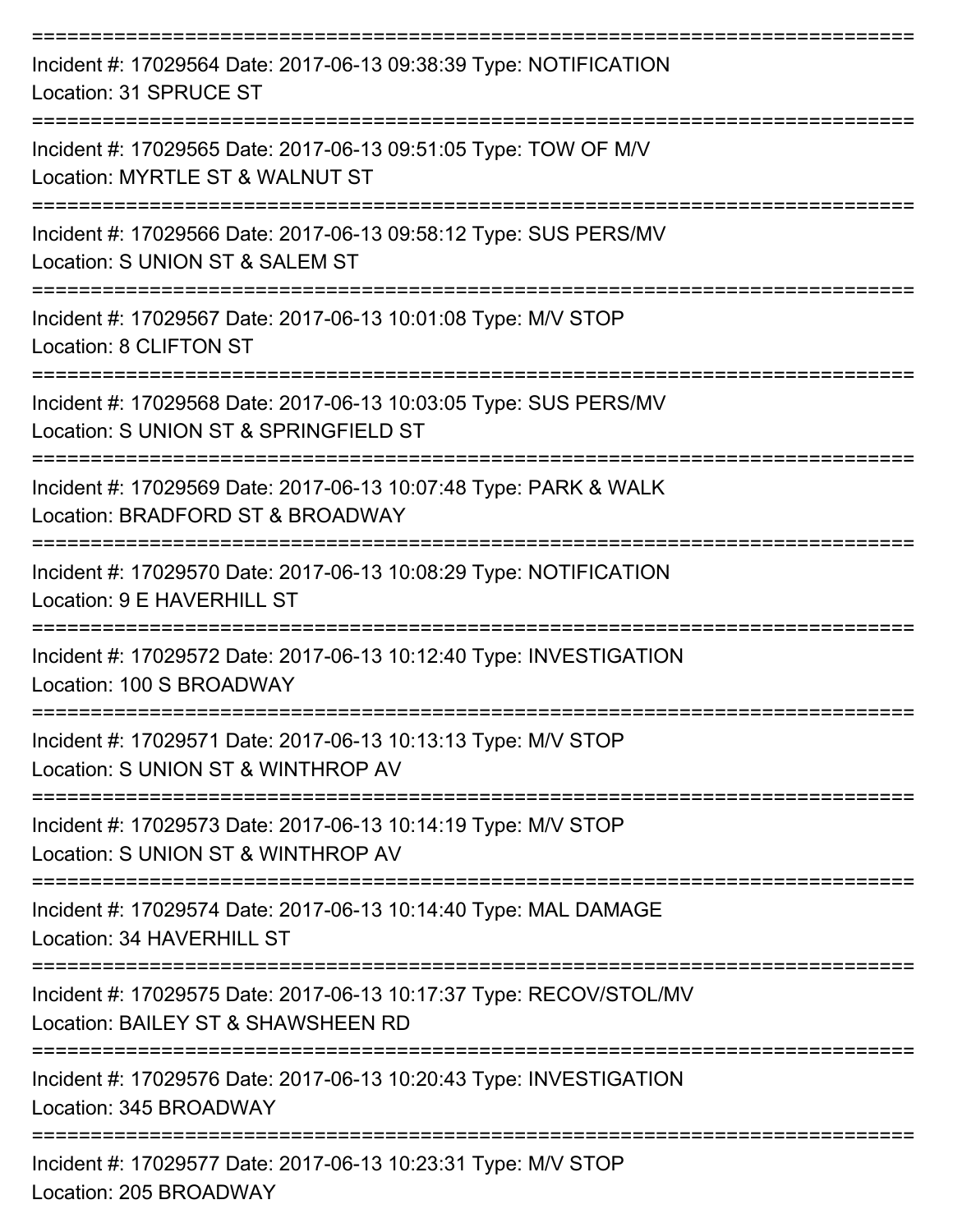| Incident #: 17029564 Date: 2017-06-13 09:38:39 Type: NOTIFICATION<br>Location: 31 SPRUCE ST               |
|-----------------------------------------------------------------------------------------------------------|
| Incident #: 17029565 Date: 2017-06-13 09:51:05 Type: TOW OF M/V<br>Location: MYRTLE ST & WALNUT ST        |
| Incident #: 17029566 Date: 2017-06-13 09:58:12 Type: SUS PERS/MV<br>Location: S UNION ST & SALEM ST       |
| Incident #: 17029567 Date: 2017-06-13 10:01:08 Type: M/V STOP<br>Location: 8 CLIFTON ST                   |
| Incident #: 17029568 Date: 2017-06-13 10:03:05 Type: SUS PERS/MV<br>Location: S UNION ST & SPRINGFIELD ST |
| Incident #: 17029569 Date: 2017-06-13 10:07:48 Type: PARK & WALK<br>Location: BRADFORD ST & BROADWAY      |
| Incident #: 17029570 Date: 2017-06-13 10:08:29 Type: NOTIFICATION<br>Location: 9 E HAVERHILL ST           |
| Incident #: 17029572 Date: 2017-06-13 10:12:40 Type: INVESTIGATION<br>Location: 100 S BROADWAY            |
| Incident #: 17029571 Date: 2017-06-13 10:13:13 Type: M/V STOP<br>Location: S UNION ST & WINTHROP AV       |
| Incident #: 17029573 Date: 2017-06-13 10:14:19 Type: M/V STOP<br>Location: S UNION ST & WINTHROP AV       |
| Incident #: 17029574 Date: 2017-06-13 10:14:40 Type: MAL DAMAGE<br>Location: 34 HAVERHILL ST              |
| Incident #: 17029575 Date: 2017-06-13 10:17:37 Type: RECOV/STOL/MV<br>Location: BAILEY ST & SHAWSHEEN RD  |
| Incident #: 17029576 Date: 2017-06-13 10:20:43 Type: INVESTIGATION<br>Location: 345 BROADWAY              |
| Incident #: 17029577 Date: 2017-06-13 10:23:31 Type: M/V STOP<br>Location: 205 BROADWAY                   |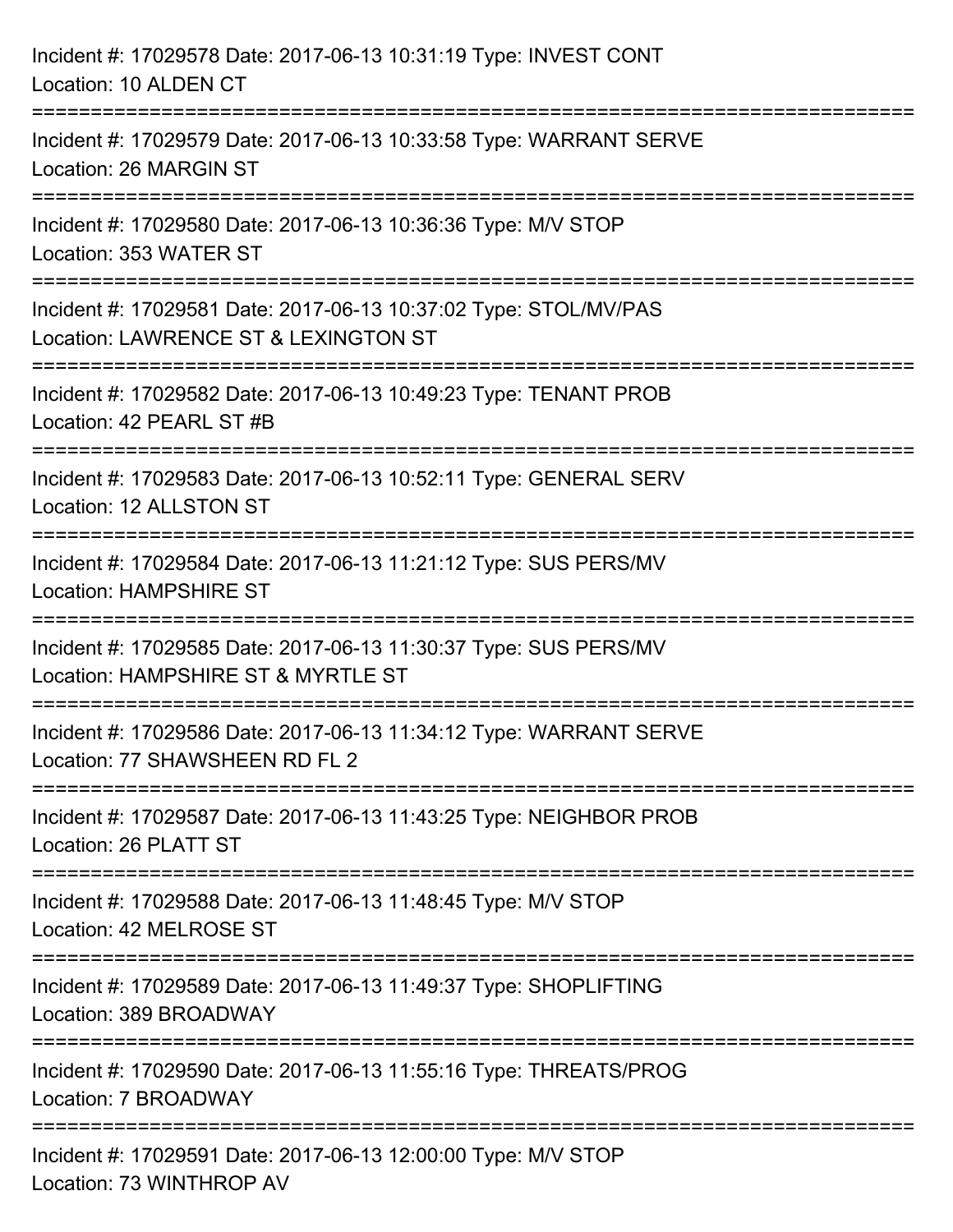| Incident #: 17029578 Date: 2017-06-13 10:31:19 Type: INVEST CONT<br>Location: 10 ALDEN CT                                                          |
|----------------------------------------------------------------------------------------------------------------------------------------------------|
| ================================<br>Incident #: 17029579 Date: 2017-06-13 10:33:58 Type: WARRANT SERVE<br>Location: 26 MARGIN ST<br>-------------- |
| Incident #: 17029580 Date: 2017-06-13 10:36:36 Type: M/V STOP<br>Location: 353 WATER ST                                                            |
| Incident #: 17029581 Date: 2017-06-13 10:37:02 Type: STOL/MV/PAS<br>Location: LAWRENCE ST & LEXINGTON ST<br>:======================                |
| Incident #: 17029582 Date: 2017-06-13 10:49:23 Type: TENANT PROB<br>Location: 42 PEARL ST #B                                                       |
| Incident #: 17029583 Date: 2017-06-13 10:52:11 Type: GENERAL SERV<br>Location: 12 ALLSTON ST                                                       |
| Incident #: 17029584 Date: 2017-06-13 11:21:12 Type: SUS PERS/MV<br><b>Location: HAMPSHIRE ST</b>                                                  |
| Incident #: 17029585 Date: 2017-06-13 11:30:37 Type: SUS PERS/MV<br>Location: HAMPSHIRE ST & MYRTLE ST                                             |
| Incident #: 17029586 Date: 2017-06-13 11:34:12 Type: WARRANT SERVE<br>Location: 77 SHAWSHEEN RD FL 2                                               |
| Incident #: 17029587 Date: 2017-06-13 11:43:25 Type: NEIGHBOR PROB<br>Location: 26 PLATT ST                                                        |
| Incident #: 17029588 Date: 2017-06-13 11:48:45 Type: M/V STOP<br>Location: 42 MELROSE ST                                                           |
| Incident #: 17029589 Date: 2017-06-13 11:49:37 Type: SHOPLIFTING<br>Location: 389 BROADWAY                                                         |
| Incident #: 17029590 Date: 2017-06-13 11:55:16 Type: THREATS/PROG<br>Location: 7 BROADWAY                                                          |
| Incident #: 17029591 Date: 2017-06-13 12:00:00 Type: M/V STOP<br>Location: 73 WINTHROP AV                                                          |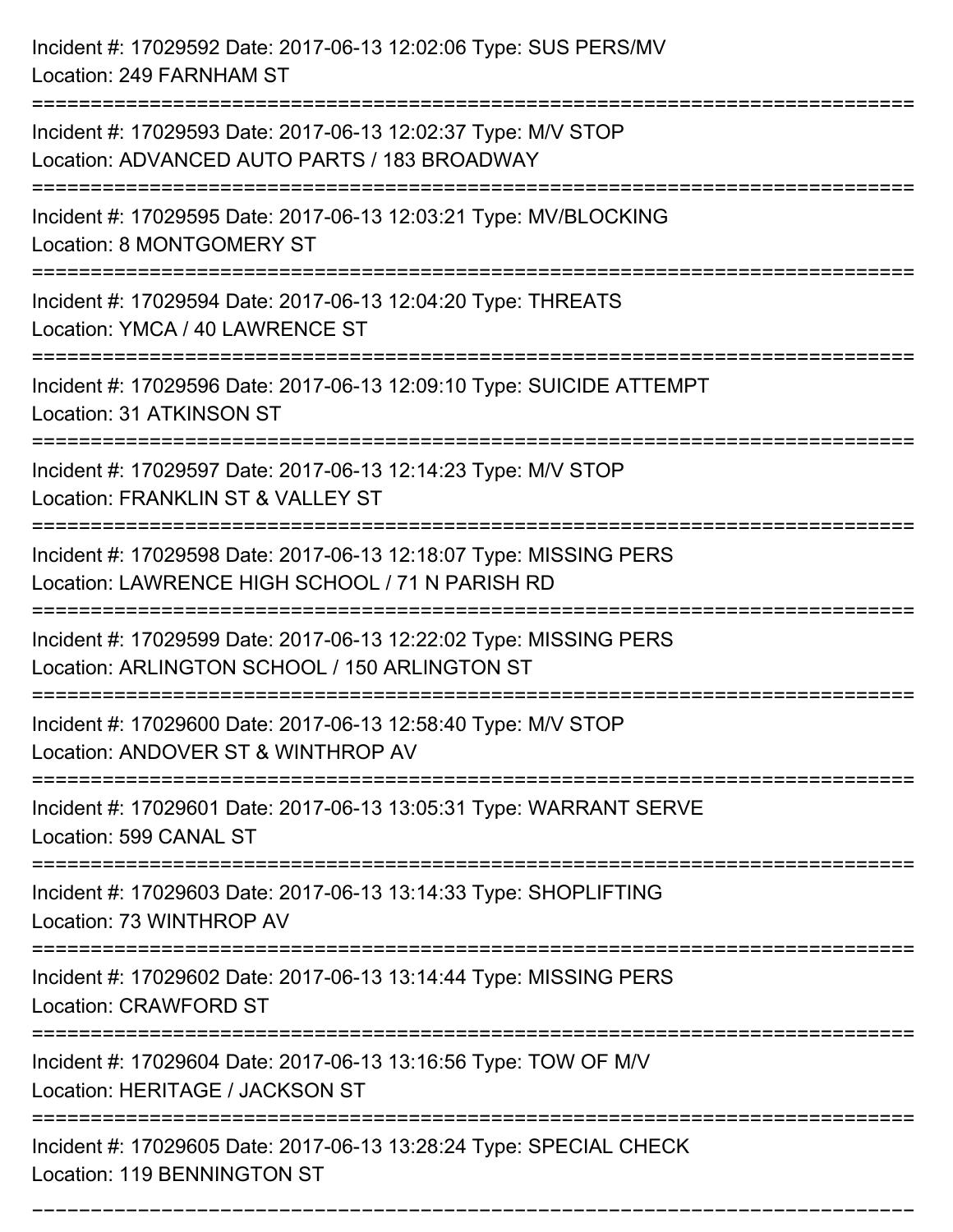Incident #: 17029592 Date: 2017-06-13 12:02:06 Type: SUS PERS/MV Location: 249 FARNHAM ST =========================================================================== Incident #: 17029593 Date: 2017-06-13 12:02:37 Type: M/V STOP Location: ADVANCED AUTO PARTS / 183 BROADWAY =========================================================================== Incident #: 17029595 Date: 2017-06-13 12:03:21 Type: MV/BLOCKING Location: 8 MONTGOMERY ST =========================================================================== Incident #: 17029594 Date: 2017-06-13 12:04:20 Type: THREATS Location: YMCA / 40 LAWRENCE ST =========================================================================== Incident #: 17029596 Date: 2017-06-13 12:09:10 Type: SUICIDE ATTEMPT Location: 31 ATKINSON ST =========================================================================== Incident #: 17029597 Date: 2017-06-13 12:14:23 Type: M/V STOP Location: FRANKLIN ST & VALLEY ST =========================================================================== Incident #: 17029598 Date: 2017-06-13 12:18:07 Type: MISSING PERS Location: LAWRENCE HIGH SCHOOL / 71 N PARISH RD =========================================================================== Incident #: 17029599 Date: 2017-06-13 12:22:02 Type: MISSING PERS Location: ARLINGTON SCHOOL / 150 ARLINGTON ST =========================================================================== Incident #: 17029600 Date: 2017-06-13 12:58:40 Type: M/V STOP Location: ANDOVER ST & WINTHROP AV =========================================================================== Incident #: 17029601 Date: 2017-06-13 13:05:31 Type: WARRANT SERVE Location: 599 CANAL ST =========================================================================== Incident #: 17029603 Date: 2017-06-13 13:14:33 Type: SHOPLIFTING Location: 73 WINTHROP AV =========================================================================== Incident #: 17029602 Date: 2017-06-13 13:14:44 Type: MISSING PERS Location: CRAWFORD ST =========================================================================== Incident #: 17029604 Date: 2017-06-13 13:16:56 Type: TOW OF M/V Location: HERITAGE / JACKSON ST =========================================================================== Incident #: 17029605 Date: 2017-06-13 13:28:24 Type: SPECIAL CHECK Location: 119 BENNINGTON ST

===========================================================================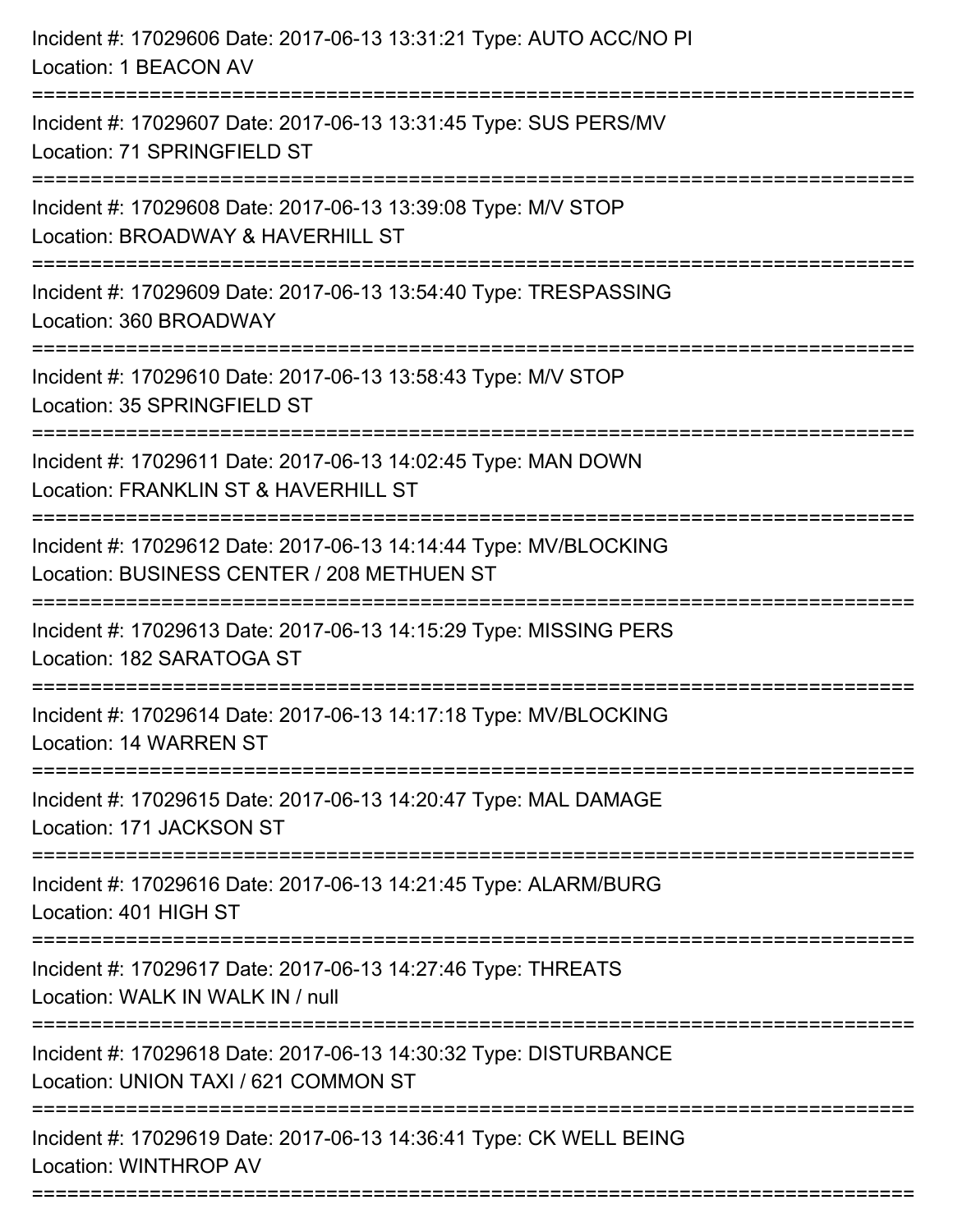| Incident #: 17029606 Date: 2017-06-13 13:31:21 Type: AUTO ACC/NO PI<br>Location: 1 BEACON AV                                           |
|----------------------------------------------------------------------------------------------------------------------------------------|
| Incident #: 17029607 Date: 2017-06-13 13:31:45 Type: SUS PERS/MV<br>Location: 71 SPRINGFIELD ST                                        |
| Incident #: 17029608 Date: 2017-06-13 13:39:08 Type: M/V STOP<br>Location: BROADWAY & HAVERHILL ST<br>================================ |
| Incident #: 17029609 Date: 2017-06-13 13:54:40 Type: TRESPASSING<br>Location: 360 BROADWAY<br>-----------------------------------      |
| Incident #: 17029610 Date: 2017-06-13 13:58:43 Type: M/V STOP<br>Location: 35 SPRINGFIELD ST                                           |
| Incident #: 17029611 Date: 2017-06-13 14:02:45 Type: MAN DOWN<br>Location: FRANKLIN ST & HAVERHILL ST                                  |
| Incident #: 17029612 Date: 2017-06-13 14:14:44 Type: MV/BLOCKING<br>Location: BUSINESS CENTER / 208 METHUEN ST                         |
| Incident #: 17029613 Date: 2017-06-13 14:15:29 Type: MISSING PERS<br>Location: 182 SARATOGA ST                                         |
| Incident #: 17029614 Date: 2017-06-13 14:17:18 Type: MV/BLOCKING<br>Location: 14 WARREN ST                                             |
| Incident #: 17029615 Date: 2017-06-13 14:20:47 Type: MAL DAMAGE<br>Location: 171 JACKSON ST                                            |
| Incident #: 17029616 Date: 2017-06-13 14:21:45 Type: ALARM/BURG<br>Location: 401 HIGH ST                                               |
| Incident #: 17029617 Date: 2017-06-13 14:27:46 Type: THREATS<br>Location: WALK IN WALK IN / null                                       |
| Incident #: 17029618 Date: 2017-06-13 14:30:32 Type: DISTURBANCE<br>Location: UNION TAXI / 621 COMMON ST                               |
| Incident #: 17029619 Date: 2017-06-13 14:36:41 Type: CK WELL BEING<br>Location: WINTHROP AV                                            |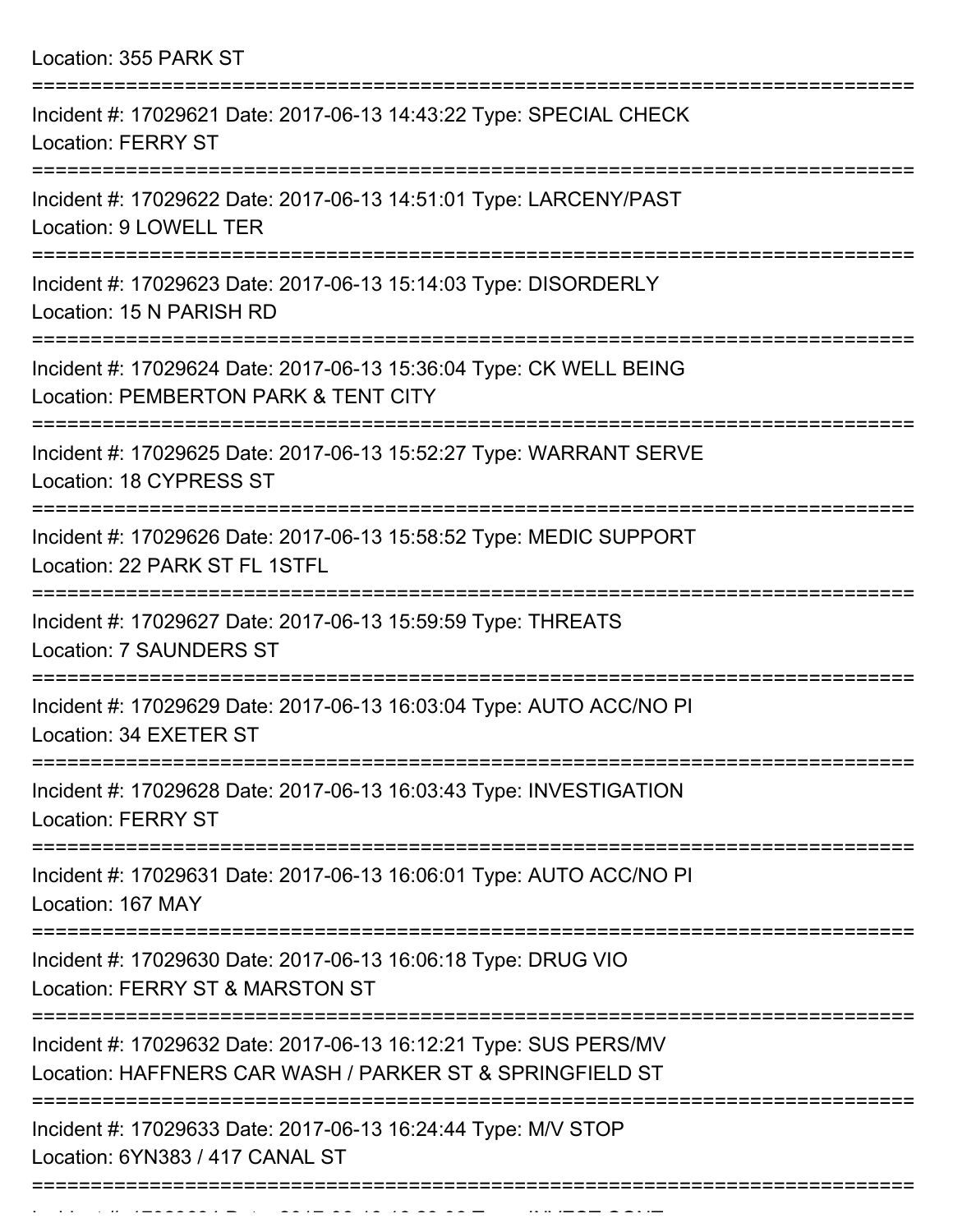| Location: 355 PARK ST                                                                                                        |
|------------------------------------------------------------------------------------------------------------------------------|
| Incident #: 17029621 Date: 2017-06-13 14:43:22 Type: SPECIAL CHECK<br><b>Location: FERRY ST</b>                              |
| Incident #: 17029622 Date: 2017-06-13 14:51:01 Type: LARCENY/PAST<br>Location: 9 LOWELL TER                                  |
| Incident #: 17029623 Date: 2017-06-13 15:14:03 Type: DISORDERLY<br>Location: 15 N PARISH RD                                  |
| Incident #: 17029624 Date: 2017-06-13 15:36:04 Type: CK WELL BEING<br>Location: PEMBERTON PARK & TENT CITY                   |
| Incident #: 17029625 Date: 2017-06-13 15:52:27 Type: WARRANT SERVE<br>Location: 18 CYPRESS ST                                |
| Incident #: 17029626 Date: 2017-06-13 15:58:52 Type: MEDIC SUPPORT<br>Location: 22 PARK ST FL 1STFL                          |
| Incident #: 17029627 Date: 2017-06-13 15:59:59 Type: THREATS<br><b>Location: 7 SAUNDERS ST</b>                               |
| Incident #: 17029629 Date: 2017-06-13 16:03:04 Type: AUTO ACC/NO PI<br>Location: 34 EXETER ST                                |
| Incident #: 17029628 Date: 2017-06-13 16:03:43 Type: INVESTIGATION<br><b>Location: FERRY ST</b>                              |
| Incident #: 17029631 Date: 2017-06-13 16:06:01 Type: AUTO ACC/NO PI<br>Location: 167 MAY                                     |
| Incident #: 17029630 Date: 2017-06-13 16:06:18 Type: DRUG VIO<br>Location: FERRY ST & MARSTON ST                             |
| Incident #: 17029632 Date: 2017-06-13 16:12:21 Type: SUS PERS/MV<br>Location: HAFFNERS CAR WASH / PARKER ST & SPRINGFIELD ST |
| Incident #: 17029633 Date: 2017-06-13 16:24:44 Type: M/V STOP<br>Location: 6YN383 / 417 CANAL ST                             |
|                                                                                                                              |

Incident #: 17029634 Date: 2017 06 13 16:29:06 Type: INVEST CONT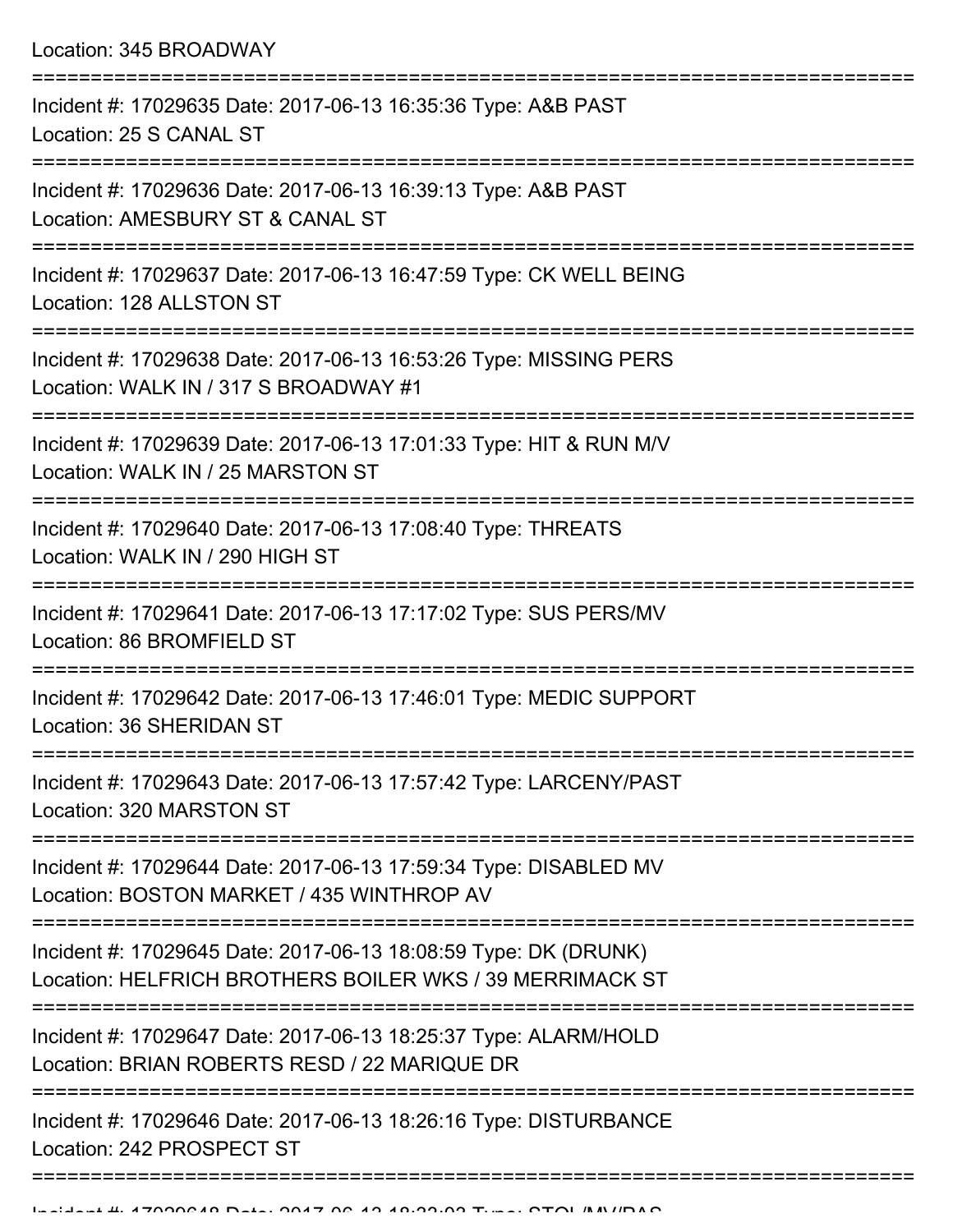| Incident #: 17029635 Date: 2017-06-13 16:35:36 Type: A&B PAST<br>Location: 25 S CANAL ST                                    |
|-----------------------------------------------------------------------------------------------------------------------------|
| Incident #: 17029636 Date: 2017-06-13 16:39:13 Type: A&B PAST<br>Location: AMESBURY ST & CANAL ST                           |
| Incident #: 17029637 Date: 2017-06-13 16:47:59 Type: CK WELL BEING<br>Location: 128 ALLSTON ST                              |
| Incident #: 17029638 Date: 2017-06-13 16:53:26 Type: MISSING PERS<br>Location: WALK IN / 317 S BROADWAY #1                  |
| Incident #: 17029639 Date: 2017-06-13 17:01:33 Type: HIT & RUN M/V<br>Location: WALK IN / 25 MARSTON ST                     |
| Incident #: 17029640 Date: 2017-06-13 17:08:40 Type: THREATS<br>Location: WALK IN / 290 HIGH ST                             |
| Incident #: 17029641 Date: 2017-06-13 17:17:02 Type: SUS PERS/MV<br>Location: 86 BROMFIELD ST                               |
| Incident #: 17029642 Date: 2017-06-13 17:46:01 Type: MEDIC SUPPORT<br>Location: 36 SHERIDAN ST                              |
| Incident #: 17029643 Date: 2017-06-13 17:57:42 Type: LARCENY/PAST<br>Location: 320 MARSTON ST                               |
| Incident #: 17029644 Date: 2017-06-13 17:59:34 Type: DISABLED MV<br>Location: BOSTON MARKET / 435 WINTHROP AV               |
| Incident #: 17029645 Date: 2017-06-13 18:08:59 Type: DK (DRUNK)<br>Location: HELFRICH BROTHERS BOILER WKS / 39 MERRIMACK ST |
| Incident #: 17029647 Date: 2017-06-13 18:25:37 Type: ALARM/HOLD<br>Location: BRIAN ROBERTS RESD / 22 MARIQUE DR             |
| Incident #: 17029646 Date: 2017-06-13 18:26:16 Type: DISTURBANCE<br>Location: 242 PROSPECT ST                               |
|                                                                                                                             |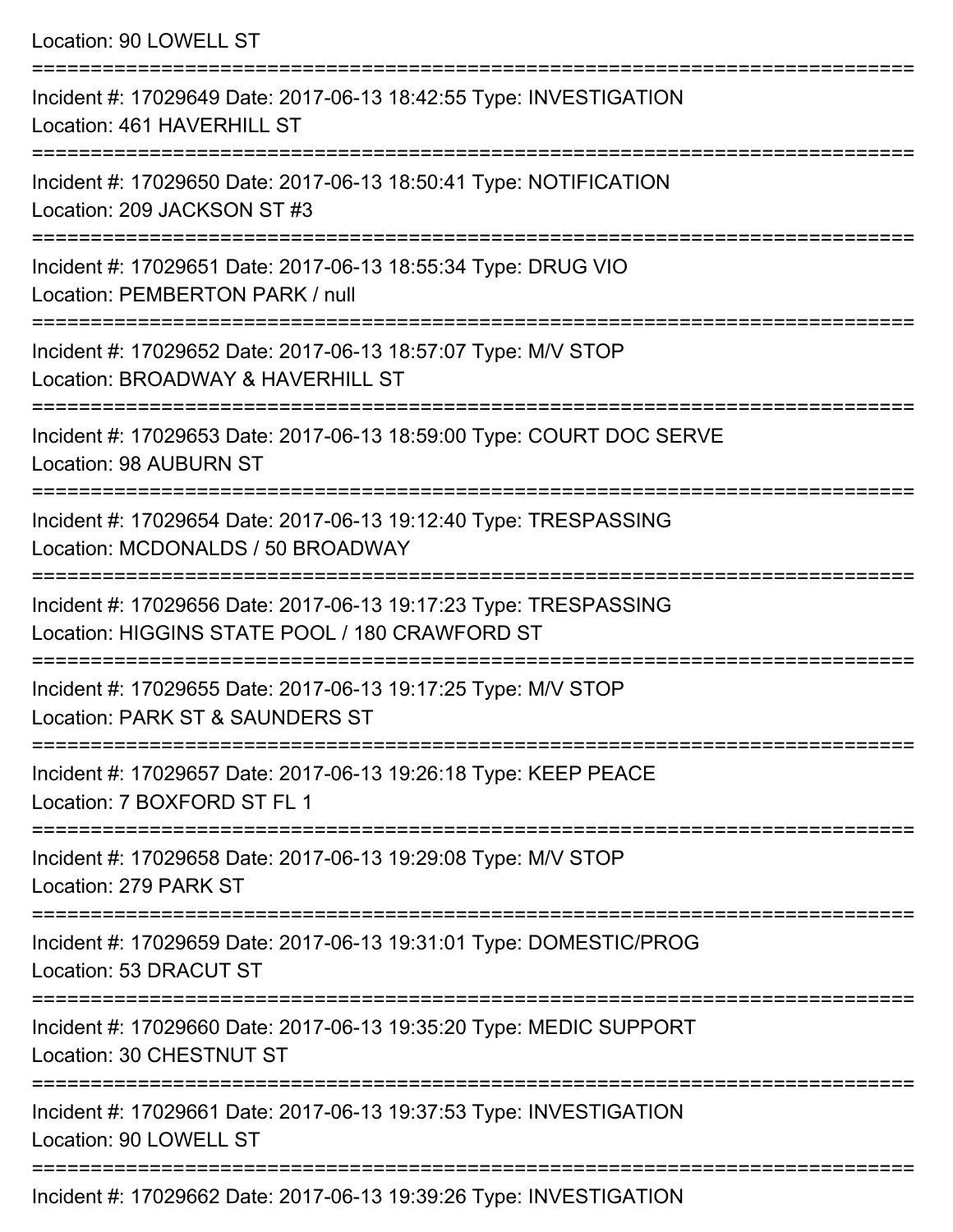Location: 90 LOWELL ST =========================================================================== Incident #: 17029649 Date: 2017-06-13 18:42:55 Type: INVESTIGATION Location: 461 HAVERHILL ST =========================================================================== Incident #: 17029650 Date: 2017-06-13 18:50:41 Type: NOTIFICATION Location: 209 JACKSON ST #3 =========================================================================== Incident #: 17029651 Date: 2017-06-13 18:55:34 Type: DRUG VIO Location: PEMBERTON PARK / null =========================================================================== Incident #: 17029652 Date: 2017-06-13 18:57:07 Type: M/V STOP Location: BROADWAY & HAVERHILL ST =========================================================================== Incident #: 17029653 Date: 2017-06-13 18:59:00 Type: COURT DOC SERVE Location: 98 AUBURN ST =========================================================================== Incident #: 17029654 Date: 2017-06-13 19:12:40 Type: TRESPASSING Location: MCDONALDS / 50 BROADWAY =========================================================================== Incident #: 17029656 Date: 2017-06-13 19:17:23 Type: TRESPASSING Location: HIGGINS STATE POOL / 180 CRAWFORD ST =========================================================================== Incident #: 17029655 Date: 2017-06-13 19:17:25 Type: M/V STOP Location: PARK ST & SAUNDERS ST =========================================================================== Incident #: 17029657 Date: 2017-06-13 19:26:18 Type: KEEP PEACE Location: 7 BOXFORD ST FL 1 =========================================================================== Incident #: 17029658 Date: 2017-06-13 19:29:08 Type: M/V STOP Location: 279 PARK ST =========================================================================== Incident #: 17029659 Date: 2017-06-13 19:31:01 Type: DOMESTIC/PROG

Location: 53 DRACUT ST

Incident #: 17029660 Date: 2017-06-13 19:35:20 Type: MEDIC SUPPORT

Location: 30 CHESTNUT ST

===========================================================================

===========================================================================

Incident #: 17029661 Date: 2017-06-13 19:37:53 Type: INVESTIGATION Location: 90 LOWELL ST

===========================================================================

Incident #: 17029662 Date: 2017-06-13 19:39:26 Type: INVESTIGATION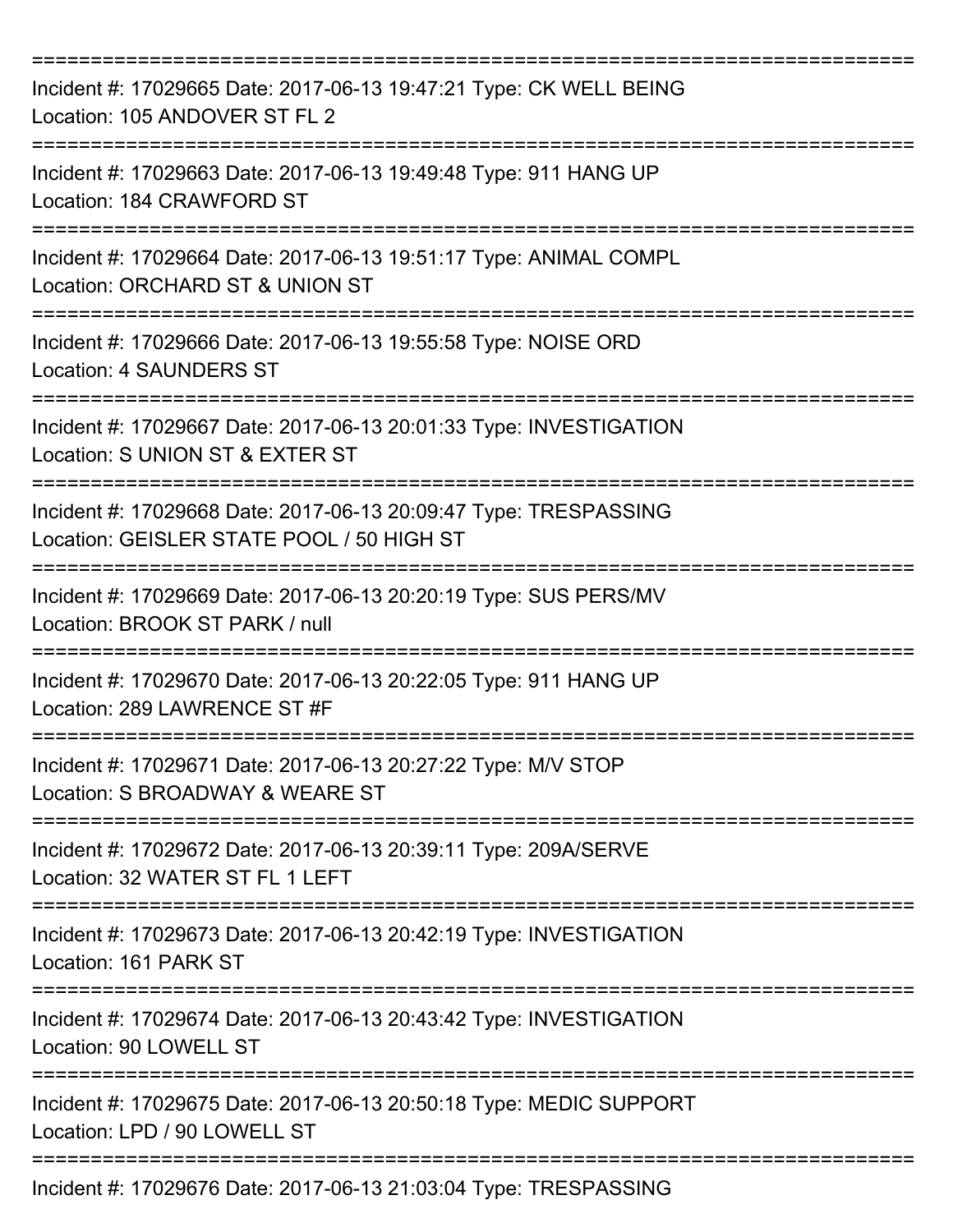| Incident #: 17029665 Date: 2017-06-13 19:47:21 Type: CK WELL BEING<br>Location: 105 ANDOVER ST FL 2                     |
|-------------------------------------------------------------------------------------------------------------------------|
| Incident #: 17029663 Date: 2017-06-13 19:49:48 Type: 911 HANG UP<br>Location: 184 CRAWFORD ST                           |
| Incident #: 17029664 Date: 2017-06-13 19:51:17 Type: ANIMAL COMPL<br>Location: ORCHARD ST & UNION ST                    |
| Incident #: 17029666 Date: 2017-06-13 19:55:58 Type: NOISE ORD<br><b>Location: 4 SAUNDERS ST</b>                        |
| Incident #: 17029667 Date: 2017-06-13 20:01:33 Type: INVESTIGATION<br>Location: S UNION ST & EXTER ST                   |
| Incident #: 17029668 Date: 2017-06-13 20:09:47 Type: TRESPASSING<br>Location: GEISLER STATE POOL / 50 HIGH ST           |
| Incident #: 17029669 Date: 2017-06-13 20:20:19 Type: SUS PERS/MV<br>Location: BROOK ST PARK / null                      |
| Incident #: 17029670 Date: 2017-06-13 20:22:05 Type: 911 HANG UP<br>Location: 289 LAWRENCE ST #F                        |
| ================<br>Incident #: 17029671 Date: 2017-06-13 20:27:22 Type: M/V STOP<br>Location: S BROADWAY & WEARE ST    |
| Incident #: 17029672 Date: 2017-06-13 20:39:11 Type: 209A/SERVE<br>Location: 32 WATER ST FL 1 LEFT                      |
| Incident #: 17029673 Date: 2017-06-13 20:42:19 Type: INVESTIGATION<br>Location: 161 PARK ST<br>======================== |
| Incident #: 17029674 Date: 2017-06-13 20:43:42 Type: INVESTIGATION<br>Location: 90 LOWELL ST                            |
| Incident #: 17029675 Date: 2017-06-13 20:50:18 Type: MEDIC SUPPORT<br>Location: LPD / 90 LOWELL ST                      |
| Incident #: 17029676 Date: 2017-06-13 21:03:04 Type: TRESPASSING                                                        |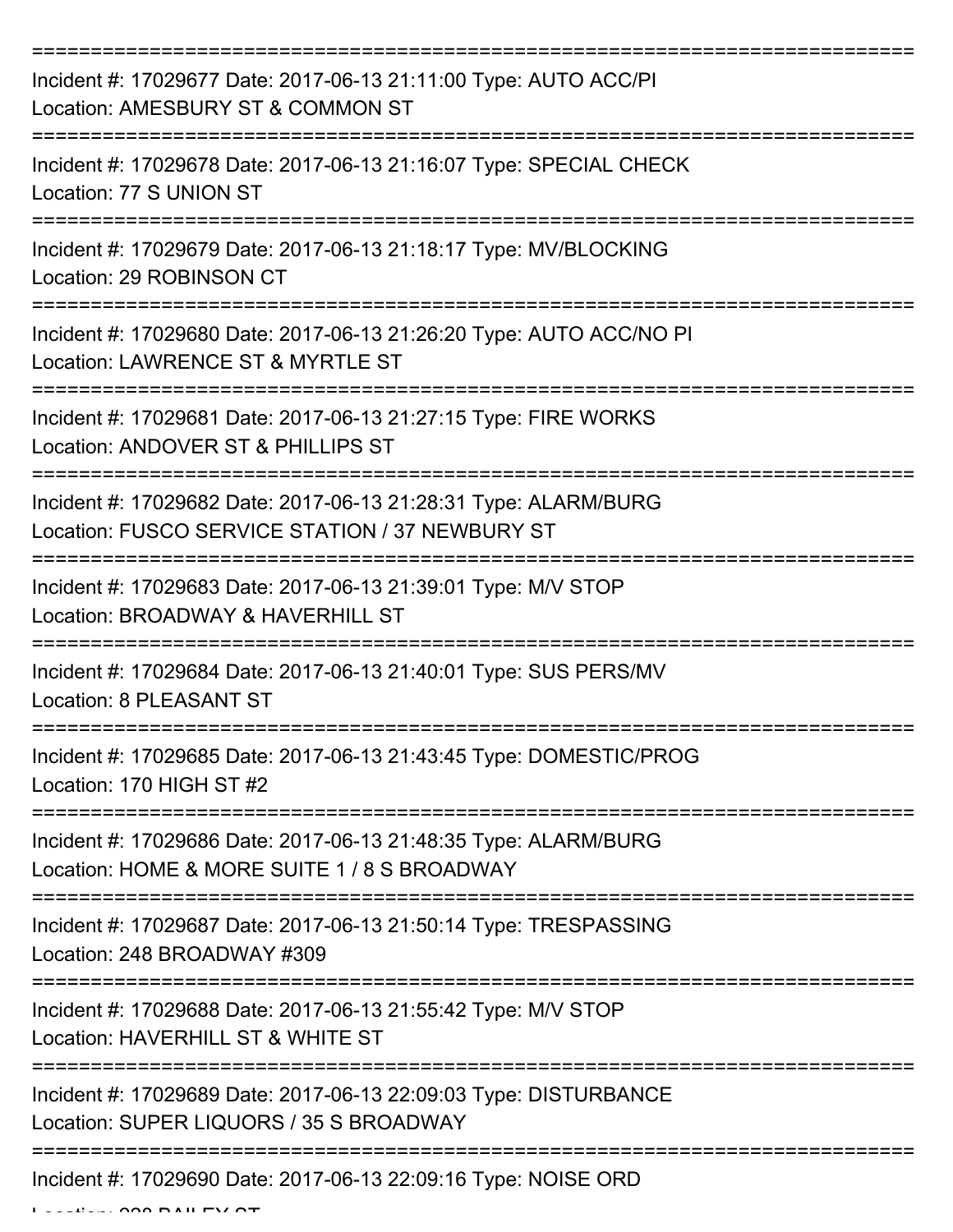| Incident #: 17029677 Date: 2017-06-13 21:11:00 Type: AUTO ACC/PI<br>Location: AMESBURY ST & COMMON ST              |
|--------------------------------------------------------------------------------------------------------------------|
| Incident #: 17029678 Date: 2017-06-13 21:16:07 Type: SPECIAL CHECK<br>Location: 77 S UNION ST                      |
| Incident #: 17029679 Date: 2017-06-13 21:18:17 Type: MV/BLOCKING<br>Location: 29 ROBINSON CT                       |
| Incident #: 17029680 Date: 2017-06-13 21:26:20 Type: AUTO ACC/NO PI<br>Location: LAWRENCE ST & MYRTLE ST           |
| Incident #: 17029681 Date: 2017-06-13 21:27:15 Type: FIRE WORKS<br>Location: ANDOVER ST & PHILLIPS ST              |
| Incident #: 17029682 Date: 2017-06-13 21:28:31 Type: ALARM/BURG<br>Location: FUSCO SERVICE STATION / 37 NEWBURY ST |
| Incident #: 17029683 Date: 2017-06-13 21:39:01 Type: M/V STOP<br>Location: BROADWAY & HAVERHILL ST                 |
| Incident #: 17029684 Date: 2017-06-13 21:40:01 Type: SUS PERS/MV<br>Location: 8 PLEASANT ST                        |
| Incident #: 17029685 Date: 2017-06-13 21:43:45 Type: DOMESTIC/PROG<br>Location: 170 HIGH ST #2                     |
| Incident #: 17029686 Date: 2017-06-13 21:48:35 Type: ALARM/BURG<br>Location: HOME & MORE SUITE 1 / 8 S BROADWAY    |
| Incident #: 17029687 Date: 2017-06-13 21:50:14 Type: TRESPASSING<br>Location: 248 BROADWAY #309                    |
| Incident #: 17029688 Date: 2017-06-13 21:55:42 Type: M/V STOP<br>Location: HAVERHILL ST & WHITE ST                 |
| Incident #: 17029689 Date: 2017-06-13 22:09:03 Type: DISTURBANCE<br>Location: SUPER LIQUORS / 35 S BROADWAY        |
| Incident #: 17029690 Date: 2017-06-13 22:09:16 Type: NOISE ORD                                                     |